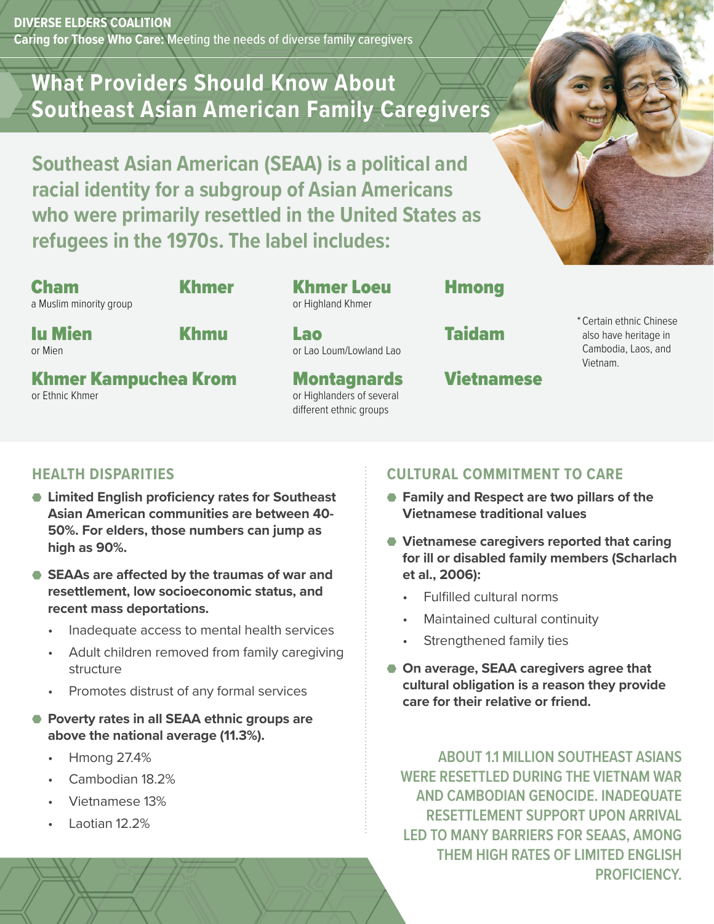**DIVERSE ELDERS COALITION Caring for Those Who Care:** Meeting the needs of diverse family caregivers

# **What Providers Should Know About Southeast Asian American Family Caregivers**

**Southeast Asian American (SEAA) is a political and racial identity for a subgroup of Asian Americans who were primarily resettled in the United States as refugees in the 1970s. The label includes:**

Cham a Muslim minority group

#### Khmer Khmer Loeu or Highland Khmer

Iu Mien or Mien

or Ethnic Khmer

Khmu Lao

or Lao Loum/Lowland Lao

**Montagnards** or Highlanders of several different ethnic groups

## **Hmong**

Taidam

# Vietnamese

\* Certain ethnic Chinese also have heritage in Cambodia, Laos, and Vietnam.

### **HEALTH DISPARITIES**

Khmer Kampuchea Krom

- **Limited English proficiency rates for Southeast Asian American communities are between 40- 50%. For elders, those numbers can jump as high as 90%.**
- **SEAAs are affected by the traumas of war and resettlement, low socioeconomic status, and recent mass deportations.**
	- Inadequate access to mental health services
	- Adult children removed from family caregiving structure
	- Promotes distrust of any formal services
- **Poverty rates in all SEAA ethnic groups are above the national average (11.3%).**
	- Hmong 27.4%
	- Cambodian 18.2%
	- Vietnamese 13%
	- Laotian 12.2%

#### **CULTURAL COMMITMENT TO CARE**

- **Family and Respect are two pillars of the Vietnamese traditional values**
- **Vietnamese caregivers reported that caring for ill or disabled family members (Scharlach et al., 2006):**
	- Fulfilled cultural norms
	- Maintained cultural continuity
	- Strengthened family ties
- **On average, SEAA caregivers agree that cultural obligation is a reason they provide care for their relative or friend.**

**ABOUT 1.1 MILLION SOUTHEAST ASIANS WERE RESETTLED DURING THE VIETNAM WAR AND CAMBODIAN GENOCIDE. INADEQUATE RESETTLEMENT SUPPORT UPON ARRIVAL LED TO MANY BARRIERS FOR SEAAS, AMONG THEM HIGH RATES OF LIMITED ENGLISH PROFICIENCY.**